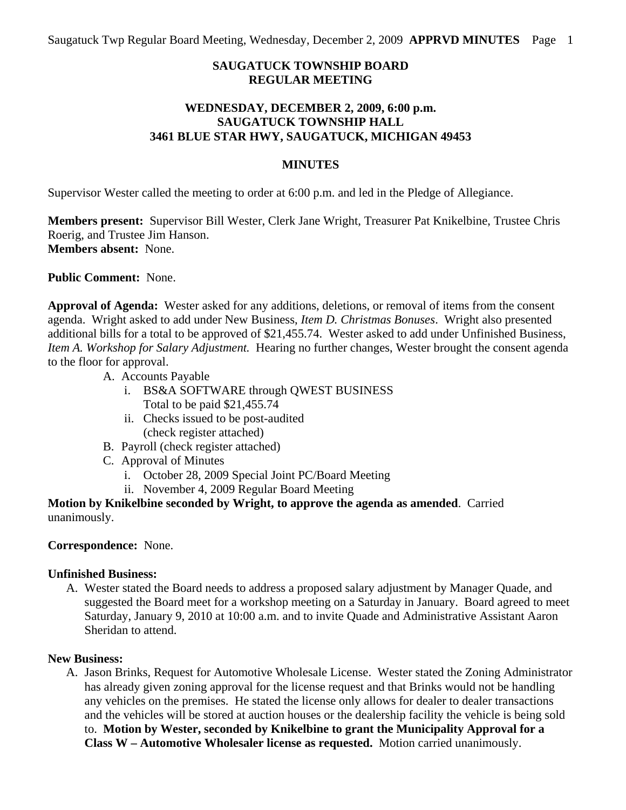## **SAUGATUCK TOWNSHIP BOARD REGULAR MEETING**

## **WEDNESDAY, DECEMBER 2, 2009, 6:00 p.m. SAUGATUCK TOWNSHIP HALL 3461 BLUE STAR HWY, SAUGATUCK, MICHIGAN 49453**

#### **MINUTES**

Supervisor Wester called the meeting to order at 6:00 p.m. and led in the Pledge of Allegiance.

**Members present:** Supervisor Bill Wester, Clerk Jane Wright, Treasurer Pat Knikelbine, Trustee Chris Roerig, and Trustee Jim Hanson. **Members absent:** None.

**Public Comment:** None.

**Approval of Agenda:** Wester asked for any additions, deletions, or removal of items from the consent agenda. Wright asked to add under New Business, *Item D. Christmas Bonuses*. Wright also presented additional bills for a total to be approved of \$21,455.74. Wester asked to add under Unfinished Business, *Item A. Workshop for Salary Adjustment.* Hearing no further changes, Wester brought the consent agenda to the floor for approval.

- A. Accounts Payable
	- i. BS&A SOFTWARE through QWEST BUSINESS Total to be paid \$21,455.74
	- ii. Checks issued to be post-audited (check register attached)
- B. Payroll (check register attached)
- C. Approval of Minutes
	- i. October 28, 2009 Special Joint PC/Board Meeting
	- ii. November 4, 2009 Regular Board Meeting

**Motion by Knikelbine seconded by Wright, to approve the agenda as amended**. Carried unanimously.

### **Correspondence:** None.

### **Unfinished Business:**

A. Wester stated the Board needs to address a proposed salary adjustment by Manager Quade, and suggested the Board meet for a workshop meeting on a Saturday in January. Board agreed to meet Saturday, January 9, 2010 at 10:00 a.m. and to invite Quade and Administrative Assistant Aaron Sheridan to attend.

#### **New Business:**

A. Jason Brinks, Request for Automotive Wholesale License. Wester stated the Zoning Administrator has already given zoning approval for the license request and that Brinks would not be handling any vehicles on the premises. He stated the license only allows for dealer to dealer transactions and the vehicles will be stored at auction houses or the dealership facility the vehicle is being sold to. **Motion by Wester, seconded by Knikelbine to grant the Municipality Approval for a Class W – Automotive Wholesaler license as requested.** Motion carried unanimously.